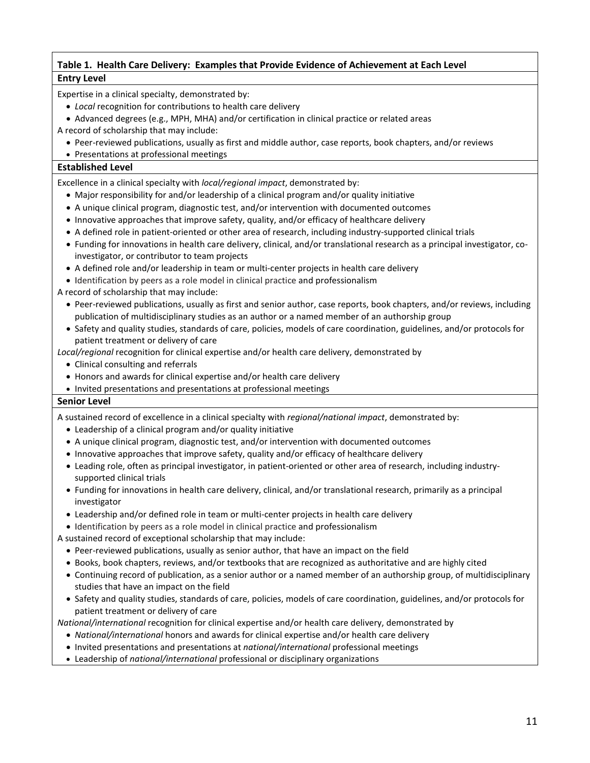# **Table 1. Health Care Delivery: Examples that Provide Evidence of Achievement at Each Level Entry Level**

Expertise in a clinical specialty, demonstrated by:

• *Local* recognition for contributions to health care delivery

• Advanced degrees (e.g., MPH, MHA) and/or certification in clinical practice or related areas

A record of scholarship that may include:

- Peer-reviewed publications, usually as first and middle author, case reports, book chapters, and/or reviews
- Presentations at professional meetings

### **Established Level**

Excellence in a clinical specialty with *local/regional impact*, demonstrated by:

- Major responsibility for and/or leadership of a clinical program and/or quality initiative
- A unique clinical program, diagnostic test, and/or intervention with documented outcomes
- Innovative approaches that improve safety, quality, and/or efficacy of healthcare delivery
- A defined role in patient-oriented or other area of research, including industry-supported clinical trials
- Funding for innovations in health care delivery, clinical, and/or translational research as a principal investigator, coinvestigator, or contributor to team projects
- A defined role and/or leadership in team or multi-center projects in health care delivery
- Identification by peers as a role model in clinical practice and professionalism

A record of scholarship that may include:

- Peer-reviewed publications, usually as first and senior author, case reports, book chapters, and/or reviews, including publication of multidisciplinary studies as an author or a named member of an authorship group
- Safety and quality studies, standards of care, policies, models of care coordination, guidelines, and/or protocols for patient treatment or delivery of care

*Local/regional* recognition for clinical expertise and/or health care delivery, demonstrated by

- Clinical consulting and referrals
- Honors and awards for clinical expertise and/or health care delivery
- Invited presentations and presentations at professional meetings

### **Senior Level**

A sustained record of excellence in a clinical specialty with *regional/national impact*, demonstrated by:

- Leadership of a clinical program and/or quality initiative
- A unique clinical program, diagnostic test, and/or intervention with documented outcomes
- Innovative approaches that improve safety, quality and/or efficacy of healthcare delivery
- Leading role, often as principal investigator, in patient-oriented or other area of research, including industrysupported clinical trials
- Funding for innovations in health care delivery, clinical, and/or translational research, primarily as a principal investigator
- Leadership and/or defined role in team or multi-center projects in health care delivery
- Identification by peers as a role model in clinical practice and professionalism
- A sustained record of exceptional scholarship that may include:
	- Peer-reviewed publications, usually as senior author, that have an impact on the field
	- Books, book chapters, reviews, and/or textbooks that are recognized as authoritative and are highly cited
	- Continuing record of publication, as a senior author or a named member of an authorship group, of multidisciplinary studies that have an impact on the field
	- Safety and quality studies, standards of care, policies, models of care coordination, guidelines, and/or protocols for patient treatment or delivery of care

*National/international* recognition for clinical expertise and/or health care delivery, demonstrated by

- *National/international* honors and awards for clinical expertise and/or health care delivery
- Invited presentations and presentations at *national/international* professional meetings
- Leadership of *national/international* professional or disciplinary organizations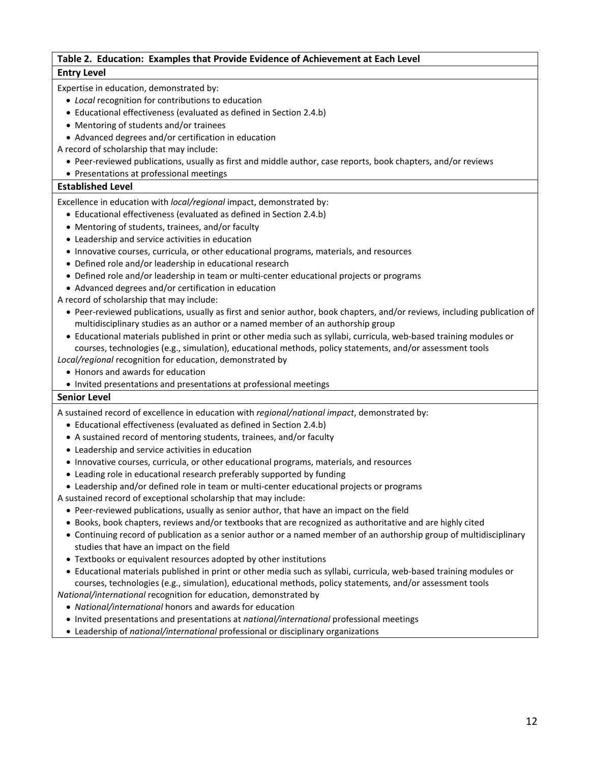### **Table 2. Education: Examples that Provide Evidence of Achievement at Each Level Entry Level**

Expertise in education, demonstrated by:

- *Local* recognition for contributions to education
- Educational effectiveness (evaluated as defined in Section 2.4.b)
- Mentoring of students and/or trainees
- Advanced degrees and/or certification in education
- A record of scholarship that may include:
	- Peer-reviewed publications, usually as first and middle author, case reports, book chapters, and/or reviews
	- Presentations at professional meetings

#### **Established Level**

Excellence in education with *local/regional* impact, demonstrated by:

- Educational effectiveness (evaluated as defined in Section 2.4.b)
- Mentoring of students, trainees, and/or faculty
- Leadership and service activities in education
- Innovative courses, curricula, or other educational programs, materials, and resources
- Defined role and/or leadership in educational research
- Defined role and/or leadership in team or multi-center educational projects or programs
- Advanced degrees and/or certification in education
- A record of scholarship that may include:
	- Peer-reviewed publications, usually as first and senior author, book chapters, and/or reviews, including publication of multidisciplinary studies as an author or a named member of an authorship group
	- Educational materials published in print or other media such as syllabi, curricula, web-based training modules or courses, technologies (e.g., simulation), educational methods, policy statements, and/or assessment tools

*Local/regional* recognition for education, demonstrated by

- Honors and awards for education
- Invited presentations and presentations at professional meetings

### **Senior Level**

A sustained record of excellence in education with *regional/national impact*, demonstrated by:

- Educational effectiveness (evaluated as defined in Section 2.4.b)
- A sustained record of mentoring students, trainees, and/or faculty
- Leadership and service activities in education
- Innovative courses, curricula, or other educational programs, materials, and resources
- Leading role in educational research preferably supported by funding
- Leadership and/or defined role in team or multi-center educational projects or programs
- A sustained record of exceptional scholarship that may include:
	- Peer-reviewed publications, usually as senior author, that have an impact on the field
	- Books, book chapters, reviews and/or textbooks that are recognized as authoritative and are highly cited
	- Continuing record of publication as a senior author or a named member of an authorship group of multidisciplinary studies that have an impact on the field
	- Textbooks or equivalent resources adopted by other institutions
	- Educational materials published in print or other media such as syllabi, curricula, web-based training modules or courses, technologies (e.g., simulation), educational methods, policy statements, and/or assessment tools

*National/international* recognition for education, demonstrated by

- *National/international* honors and awards for education
- Invited presentations and presentations at *national/international* professional meetings
- Leadership of *national/international* professional or disciplinary organizations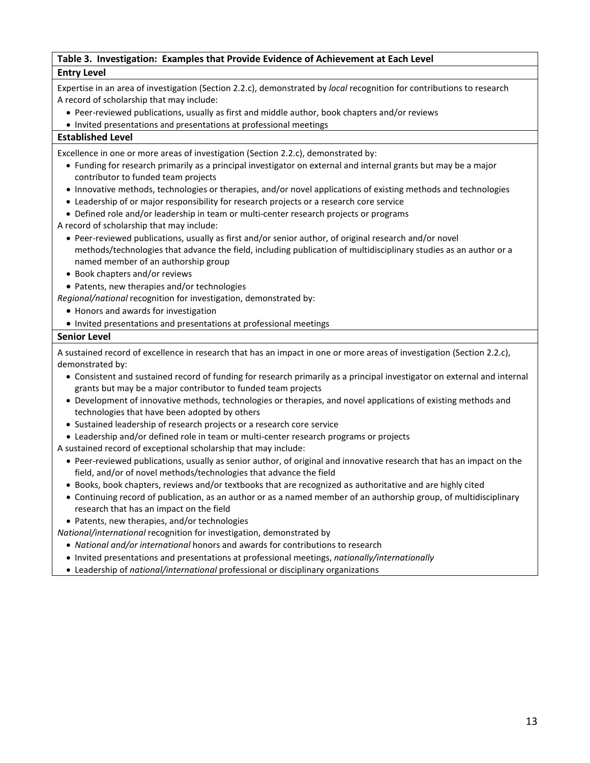# **Table 3. Investigation: Examples that Provide Evidence of Achievement at Each Level Entry Level**

Expertise in an area of investigation (Section 2.2.c), demonstrated by *local* recognition for contributions to research A record of scholarship that may include:

• Peer-reviewed publications, usually as first and middle author, book chapters and/or reviews

• Invited presentations and presentations at professional meetings

## **Established Level**

Excellence in one or more areas of investigation (Section 2.2.c), demonstrated by:

- Funding for research primarily as a principal investigator on external and internal grants but may be a major contributor to funded team projects
- Innovative methods, technologies or therapies, and/or novel applications of existing methods and technologies
- Leadership of or major responsibility for research projects or a research core service
- Defined role and/or leadership in team or multi-center research projects or programs
- A record of scholarship that may include:
	- Peer-reviewed publications, usually as first and/or senior author, of original research and/or novel methods/technologies that advance the field, including publication of multidisciplinary studies as an author or a named member of an authorship group
	- Book chapters and/or reviews
- Patents, new therapies and/or technologies
- *Regional/national* recognition for investigation, demonstrated by:
	- Honors and awards for investigation
	- Invited presentations and presentations at professional meetings

### **Senior Level**

A sustained record of excellence in research that has an impact in one or more areas of investigation (Section 2.2.c), demonstrated by:

- Consistent and sustained record of funding for research primarily as a principal investigator on external and internal grants but may be a major contributor to funded team projects
- Development of innovative methods, technologies or therapies, and novel applications of existing methods and technologies that have been adopted by others
- Sustained leadership of research projects or a research core service
- Leadership and/or defined role in team or multi-center research programs or projects
- A sustained record of exceptional scholarship that may include:
	- Peer-reviewed publications, usually as senior author, of original and innovative research that has an impact on the field, and/or of novel methods/technologies that advance the field
	- Books, book chapters, reviews and/or textbooks that are recognized as authoritative and are highly cited
	- Continuing record of publication, as an author or as a named member of an authorship group, of multidisciplinary research that has an impact on the field

• Patents, new therapies, and/or technologies

*National/international* recognition for investigation, demonstrated by

- *National and/or international* honors and awards for contributions to research
- Invited presentations and presentations at professional meetings, *nationally/internationally*
- Leadership of *national/international* professional or disciplinary organizations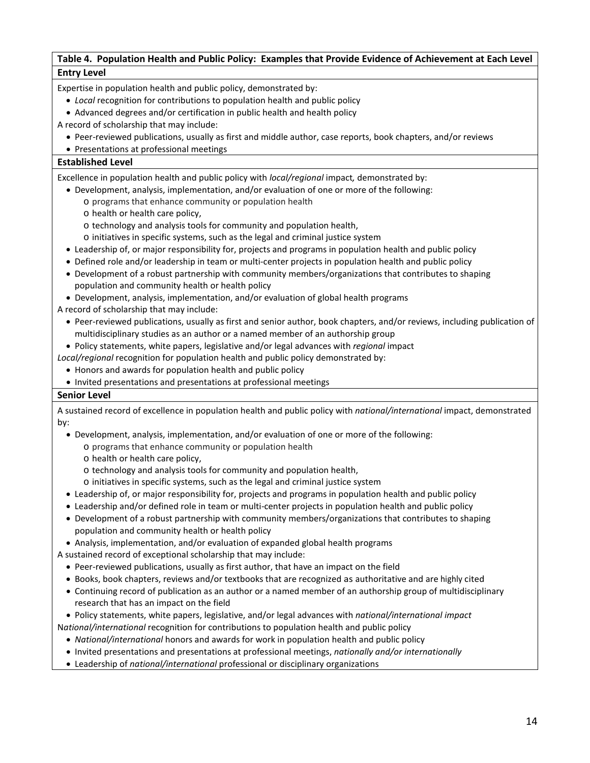# **Table 4. Population Health and Public Policy: Examples that Provide Evidence of Achievement at Each Level Entry Level**

Expertise in population health and public policy, demonstrated by:

- *Local* recognition for contributions to population health and public policy
- Advanced degrees and/or certification in public health and health policy
- A record of scholarship that may include:
	- Peer-reviewed publications, usually as first and middle author, case reports, book chapters, and/or reviews
	- Presentations at professional meetings

### **Established Level**

Excellence in population health and public policy with *local/regional* impact*,* demonstrated by:

- Development, analysis, implementation, and/or evaluation of one or more of the following:
	- o programs that enhance community or population health
	- o health or health care policy,
	- o technology and analysis tools for community and population health,
	- o initiatives in specific systems, such as the legal and criminal justice system
- Leadership of, or major responsibility for, projects and programs in population health and public policy
- Defined role and/or leadership in team or multi-center projects in population health and public policy
- Development of a robust partnership with community members/organizations that contributes to shaping population and community health or health policy
- Development, analysis, implementation, and/or evaluation of global health programs
- A record of scholarship that may include:
	- Peer-reviewed publications, usually as first and senior author, book chapters, and/or reviews, including publication of multidisciplinary studies as an author or a named member of an authorship group
	- Policy statements, white papers, legislative and/or legal advances with *regional* impact

*Local/regional* recognition for population health and public policy demonstrated by:

- Honors and awards for population health and public policy
- Invited presentations and presentations at professional meetings

### **Senior Level**

A sustained record of excellence in population health and public policy with *national/international* impact, demonstrated by:

- Development, analysis, implementation, and/or evaluation of one or more of the following:
	- o programs that enhance community or population health
	- o health or health care policy,
	- o technology and analysis tools for community and population health,
	- o initiatives in specific systems, such as the legal and criminal justice system
- Leadership of, or major responsibility for, projects and programs in population health and public policy
- Leadership and/or defined role in team or multi-center projects in population health and public policy
- Development of a robust partnership with community members/organizations that contributes to shaping population and community health or health policy
- Analysis, implementation, and/or evaluation of expanded global health programs
- A sustained record of exceptional scholarship that may include:
	- Peer-reviewed publications, usually as first author, that have an impact on the field
	- Books, book chapters, reviews and/or textbooks that are recognized as authoritative and are highly cited
	- Continuing record of publication as an author or a named member of an authorship group of multidisciplinary research that has an impact on the field
- Policy statements, white papers, legislative, and/or legal advances with *national/international impact* N*ational/international* recognition for contributions to population health and public policy
	- *National/international* honors and awards for work in population health and public policy
	- Invited presentations and presentations at professional meetings, *nationally and/or internationally*
	- Leadership of *national/international* professional or disciplinary organizations